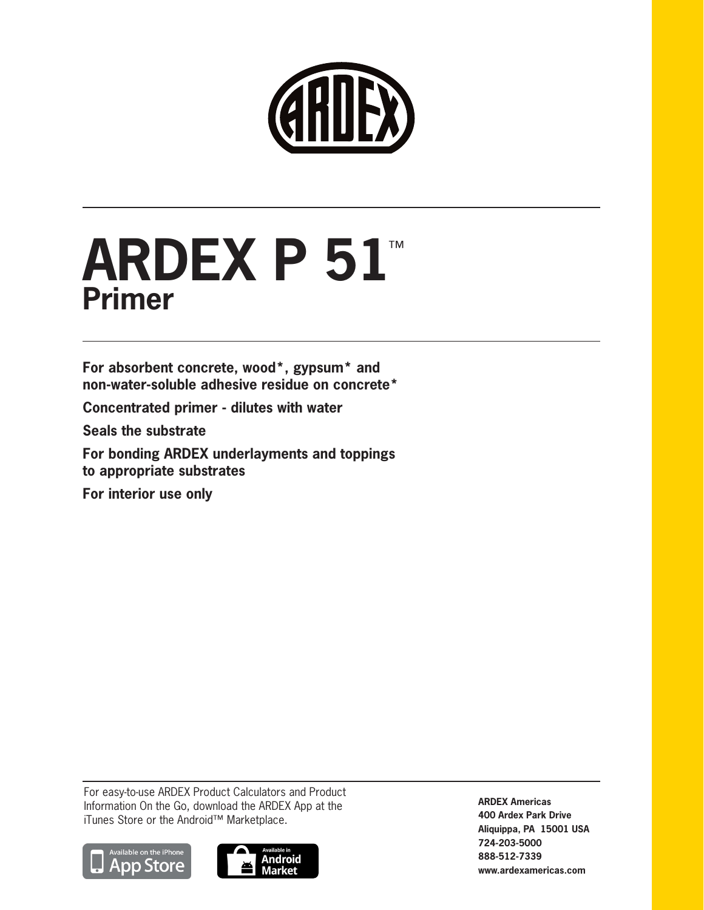

# **ARDEX P 51**™ **Primer**

**For absorbent concrete, wood\*, gypsum\* and non-water-soluble adhesive residue on concrete\***

**Concentrated primer - dilutes with water**

**Seals the substrate**

**For bonding ARDEX underlayments and toppings to appropriate substrates**

**For interior use only**

For easy-to-use ARDEX Product Calculators and Product Information On the Go, download the ARDEX App at the iTunes Store or the Android™ Marketplace.





**ARDEX Americas 400 Ardex Park Drive Aliquippa, PA 15001 USA 724-203-5000 888-512-7339 www.ardexamericas.com**